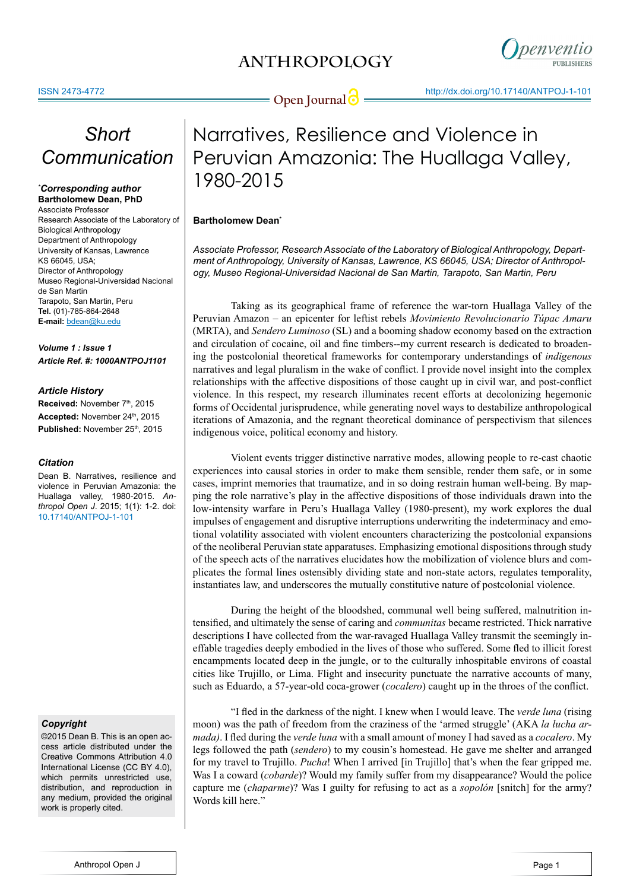### **ANTHROPOLOGY**



# **Open Journal @** http://dx.doi.org/10.17140/ANTPOJ-1-101

# *Short Communication*

#### *\* Corresponding author* **Bartholomew Dean, PhD**

Associate Professor Research Associate of the Laboratory of Biological Anthropology Department of Anthropology University of Kansas, Lawrence KS 66045, USA; Director of Anthropology Museo Regional-Universidad Nacional de San Martin Tarapoto, San Martin, Peru **Tel.** (01)-785-864-2648 **E-mail:** bdean@ku.edu

*Volume 1 : Issue 1 Article Ref. #: 1000ANTPOJ1101*

#### *Article History*

**Received: November 7th, 2015** Accepted: November 24th, 2015 Published: November 25<sup>th</sup>, 2015

#### *Citation*

Dean B. Narratives, resilience and violence in Peruvian Amazonia: the Huallaga valley, 1980-2015. *Anthropol Open J*. 2015; 1(1): 1-2. doi: [10.17140/ANTPOJ-1-101](http://openventio.org/Volume1-Issue1/Narratives-Resilience-and-Violence-in-Peruvian-Amazonia-The-Huallaga-Valley-1980-2015-ANTPOJ-1-101.pdf)

### *Copyright*

©2015 Dean B. This is an open access article distributed under the Creative Commons Attribution 4.0 International License (CC BY 4.0), which permits unrestricted use, distribution, and reproduction in any medium, provided the original work is properly cited.

## Narratives, Resilience and Violence in Peruvian Amazonia: The Huallaga Valley, 1980-2015

### **Bartholomew Dean<sup>\*</sup>**

*Associate Professor, Research Associate of the Laboratory of Biological Anthropology, Department of Anthropology, University of Kansas, Lawrence, KS 66045, USA; Director of Anthropology, Museo Regional-Universidad Nacional de San Martin, Tarapoto, San Martin, Peru*

Taking as its geographical frame of reference the war-torn Huallaga Valley of the Peruvian Amazon – an epicenter for leftist rebels *Movimiento Revolucionario Túpac Amaru* (MRTA), and *Sendero Luminoso* (SL) and a booming shadow economy based on the extraction and circulation of cocaine, oil and fine timbers--my current research is dedicated to broadening the postcolonial theoretical frameworks for contemporary understandings of *indigenous*  narratives and legal pluralism in the wake of conflict. I provide novel insight into the complex relationships with the affective dispositions of those caught up in civil war, and post-conflict violence. In this respect, my research illuminates recent efforts at decolonizing hegemonic forms of Occidental jurisprudence, while generating novel ways to destabilize anthropological iterations of Amazonia, and the regnant theoretical dominance of perspectivism that silences indigenous voice, political economy and history.

Violent events trigger distinctive narrative modes, allowing people to re-cast chaotic experiences into causal stories in order to make them sensible, render them safe, or in some cases, imprint memories that traumatize, and in so doing restrain human well-being. By mapping the role narrative's play in the affective dispositions of those individuals drawn into the low-intensity warfare in Peru's Huallaga Valley (1980-present), my work explores the dual impulses of engagement and disruptive interruptions underwriting the indeterminacy and emotional volatility associated with violent encounters characterizing the postcolonial expansions of the neoliberal Peruvian state apparatuses. Emphasizing emotional dispositions through study of the speech acts of the narratives elucidates how the mobilization of violence blurs and complicates the formal lines ostensibly dividing state and non-state actors, regulates temporality, instantiates law, and underscores the mutually constitutive nature of postcolonial violence.

During the height of the bloodshed, communal well being suffered, malnutrition intensified, and ultimately the sense of caring and *communitas* became restricted. Thick narrative descriptions I have collected from the war-ravaged Huallaga Valley transmit the seemingly ineffable tragedies deeply embodied in the lives of those who suffered. Some fled to illicit forest encampments located deep in the jungle, or to the culturally inhospitable environs of coastal cities like Trujillo, or Lima. Flight and insecurity punctuate the narrative accounts of many, such as Eduardo, a 57-year-old coca-grower (*cocalero*) caught up in the throes of the conflict.

"I fled in the darkness of the night. I knew when I would leave. The *verde luna* (rising moon) was the path of freedom from the craziness of the 'armed struggle' (AKA *la lucha armada)*. I fled during the *verde luna* with a small amount of money I had saved as a *cocalero*. My legs followed the path (*sendero*) to my cousin's homestead. He gave me shelter and arranged for my travel to Trujillo. *Pucha*! When I arrived [in Trujillo] that's when the fear gripped me. Was I a coward (*cobarde*)? Would my family suffer from my disappearance? Would the police capture me (*chaparme*)? Was I guilty for refusing to act as a *sopolón* [snitch] for the army? Words kill here."